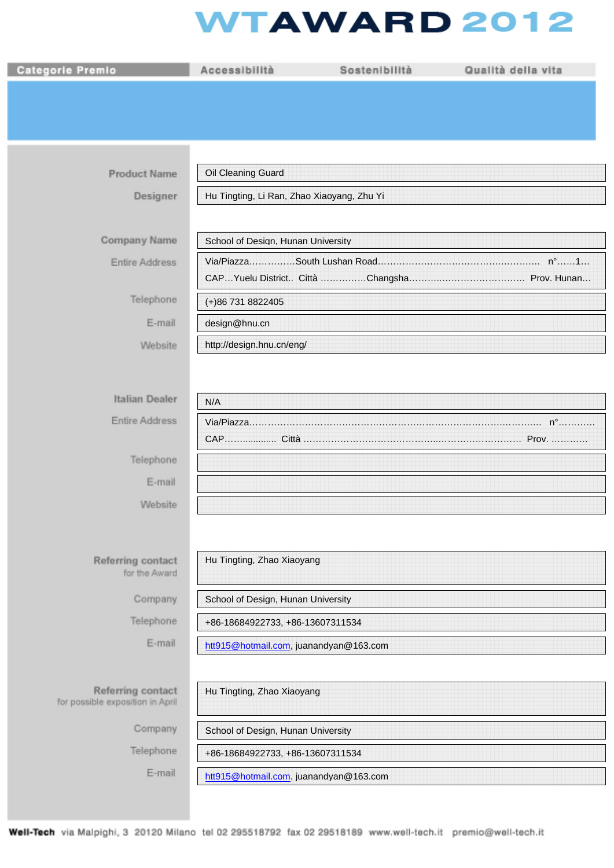## **WTAWARD 2012**

| <b>Categorie Premio</b>                               | Accessibilità                              | Sostenibilità | Qualità della vita |
|-------------------------------------------------------|--------------------------------------------|---------------|--------------------|
|                                                       |                                            |               |                    |
|                                                       |                                            |               |                    |
|                                                       |                                            |               |                    |
| <b>Product Name</b>                                   | Oil Cleaning Guard                         |               |                    |
| Designer                                              | Hu Tingting, Li Ran, Zhao Xiaoyang, Zhu Yi |               |                    |
|                                                       |                                            |               |                    |
| Company Name                                          | School of Desian. Hunan Universitv         |               |                    |
| Entire Address                                        |                                            |               |                    |
| Telephone                                             | (+)86 731 8822405                          |               |                    |
| E-mail                                                | design@hnu.cn                              |               |                    |
|                                                       | http://design.hnu.cn/eng/                  |               |                    |
| Website                                               |                                            |               |                    |
|                                                       |                                            |               |                    |
| Italian Dealer                                        | N/A                                        |               |                    |
| Entire Address                                        |                                            |               |                    |
|                                                       |                                            |               |                    |
| Telephone                                             |                                            |               |                    |
| E-mail                                                |                                            |               |                    |
| Website                                               |                                            |               |                    |
|                                                       |                                            |               |                    |
| Referring contact                                     | Hu Tingting, Zhao Xiaoyang                 |               |                    |
| for the Award                                         |                                            |               |                    |
| Company                                               | School of Design, Hunan University         |               |                    |
| Telephone                                             | +86-18684922733, +86-13607311534           |               |                    |
| E-mail                                                | htt915@hotmail.com, juanandyan@163.com     |               |                    |
|                                                       |                                            |               |                    |
| Referring contact<br>for possible exposition in April | Hu Tingting, Zhao Xiaoyang                 |               |                    |
| Company                                               | School of Design, Hunan University         |               |                    |
| Telephone                                             | +86-18684922733, +86-13607311534           |               |                    |
| E-mail                                                | htt915@hotmail.com. juanandyan@163.com     |               |                    |
|                                                       |                                            |               |                    |